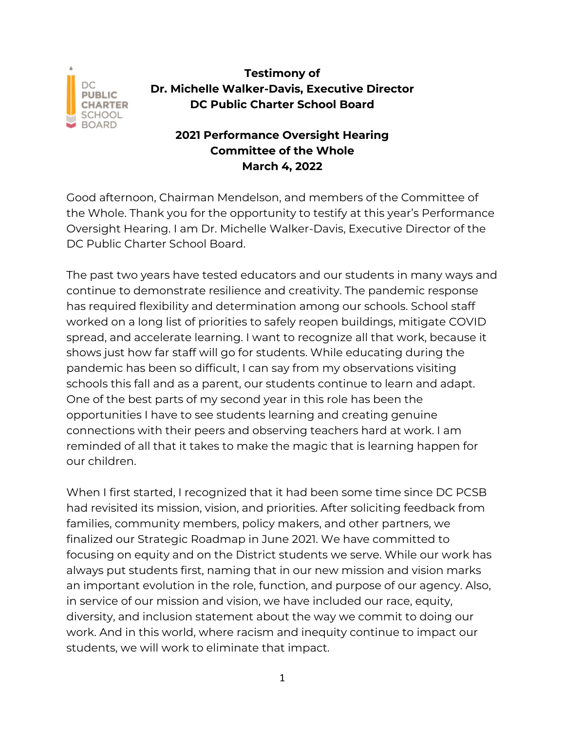

## **Testimony of Dr. Michelle Walker-Davis, Executive Director DC Public Charter School Board**

## **2021 Performance Oversight Hearing Committee of the Whole March 4, 2022**

Good afternoon, Chairman Mendelson, and members of the Committee of the Whole. Thank you for the opportunity to testify at this year's Performance Oversight Hearing. I am Dr. Michelle Walker-Davis, Executive Director of the DC Public Charter School Board.

The past two years have tested educators and our students in many ways and continue to demonstrate resilience and creativity. The pandemic response has required flexibility and determination among our schools. School staff worked on a long list of priorities to safely reopen buildings, mitigate COVID spread, and accelerate learning. I want to recognize all that work, because it shows just how far staff will go for students. While educating during the pandemic has been so difficult, I can say from my observations visiting schools this fall and as a parent, our students continue to learn and adapt. One of the best parts of my second year in this role has been the opportunities I have to see students learning and creating genuine connections with their peers and observing teachers hard at work. I am reminded of all that it takes to make the magic that is learning happen for our children.

When I first started, I recognized that it had been some time since DC PCSB had revisited its mission, vision, and priorities. After soliciting feedback from families, community members, policy makers, and other partners, we finalized our Strategic Roadmap in June 2021. We have committed to focusing on equity and on the District students we serve. While our work has always put students first, naming that in our new mission and vision marks an important evolution in the role, function, and purpose of our agency. Also, in service of our mission and vision, we have included our race, equity, diversity, and inclusion statement about the way we commit to doing our work. And in this world, where racism and inequity continue to impact our students, we will work to eliminate that impact.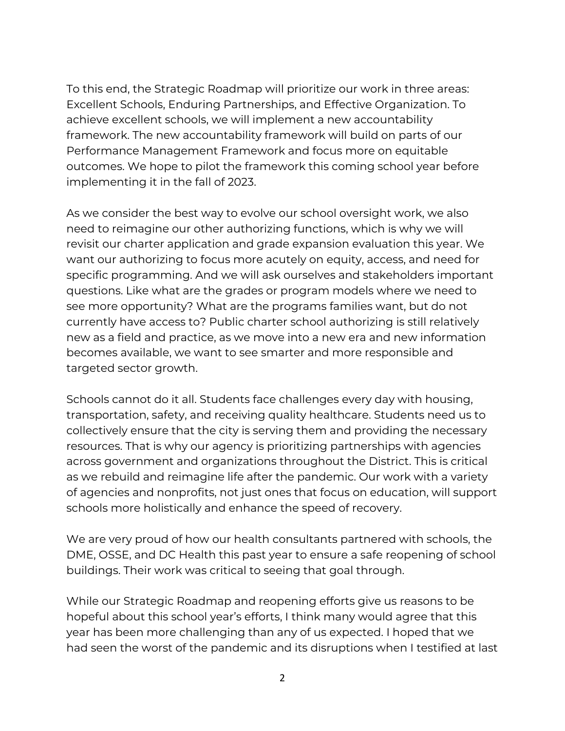To this end, the Strategic Roadmap will prioritize our work in three areas: Excellent Schools, Enduring Partnerships, and Effective Organization. To achieve excellent schools, we will implement a new accountability framework. The new accountability framework will build on parts of our Performance Management Framework and focus more on equitable outcomes. We hope to pilot the framework this coming school year before implementing it in the fall of 2023.

As we consider the best way to evolve our school oversight work, we also need to reimagine our other authorizing functions, which is why we will revisit our charter application and grade expansion evaluation this year. We want our authorizing to focus more acutely on equity, access, and need for specific programming. And we will ask ourselves and stakeholders important questions. Like what are the grades or program models where we need to see more opportunity? What are the programs families want, but do not currently have access to? Public charter school authorizing is still relatively new as a field and practice, as we move into a new era and new information becomes available, we want to see smarter and more responsible and targeted sector growth.

Schools cannot do it all. Students face challenges every day with housing, transportation, safety, and receiving quality healthcare. Students need us to collectively ensure that the city is serving them and providing the necessary resources. That is why our agency is prioritizing partnerships with agencies across government and organizations throughout the District. This is critical as we rebuild and reimagine life after the pandemic. Our work with a variety of agencies and nonprofits, not just ones that focus on education, will support schools more holistically and enhance the speed of recovery.

We are very proud of how our health consultants partnered with schools, the DME, OSSE, and DC Health this past year to ensure a safe reopening of school buildings. Their work was critical to seeing that goal through.

While our Strategic Roadmap and reopening efforts give us reasons to be hopeful about this school year's efforts, I think many would agree that this year has been more challenging than any of us expected. I hoped that we had seen the worst of the pandemic and its disruptions when I testified at last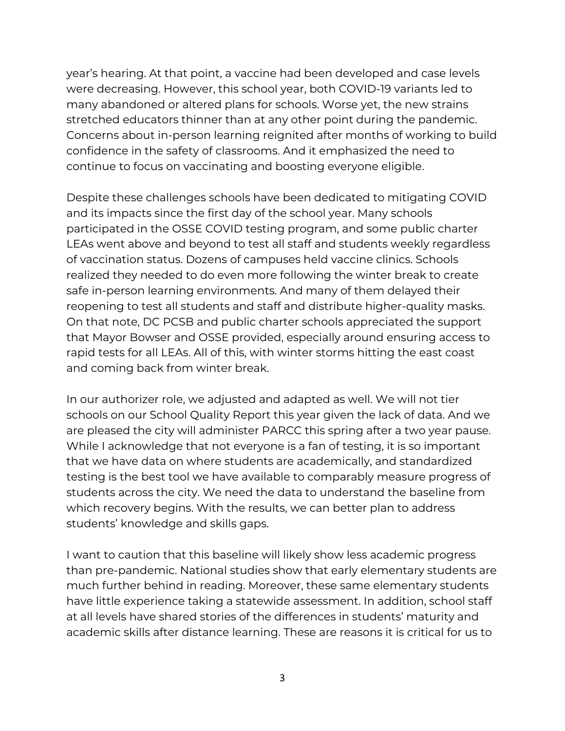year's hearing. At that point, a vaccine had been developed and case levels were decreasing. However, this school year, both COVID-19 variants led to many abandoned or altered plans for schools. Worse yet, the new strains stretched educators thinner than at any other point during the pandemic. Concerns about in-person learning reignited after months of working to build confidence in the safety of classrooms. And it emphasized the need to continue to focus on vaccinating and boosting everyone eligible.

Despite these challenges schools have been dedicated to mitigating COVID and its impacts since the first day of the school year. Many schools participated in the OSSE COVID testing program, and some public charter LEAs went above and beyond to test all staff and students weekly regardless of vaccination status. Dozens of campuses held vaccine clinics. Schools realized they needed to do even more following the winter break to create safe in-person learning environments. And many of them delayed their reopening to test all students and staff and distribute higher-quality masks. On that note, DC PCSB and public charter schools appreciated the support that Mayor Bowser and OSSE provided, especially around ensuring access to rapid tests for all LEAs. All of this, with winter storms hitting the east coast and coming back from winter break.

In our authorizer role, we adjusted and adapted as well. We will not tier schools on our School Quality Report this year given the lack of data. And we are pleased the city will administer PARCC this spring after a two year pause. While I acknowledge that not everyone is a fan of testing, it is so important that we have data on where students are academically, and standardized testing is the best tool we have available to comparably measure progress of students across the city. We need the data to understand the baseline from which recovery begins. With the results, we can better plan to address students' knowledge and skills gaps.

I want to caution that this baseline will likely show less academic progress than pre-pandemic. National studies show that early elementary students are much further behind in reading. Moreover, these same elementary students have little experience taking a statewide assessment. In addition, school staff at all levels have shared stories of the differences in students' maturity and academic skills after distance learning. These are reasons it is critical for us to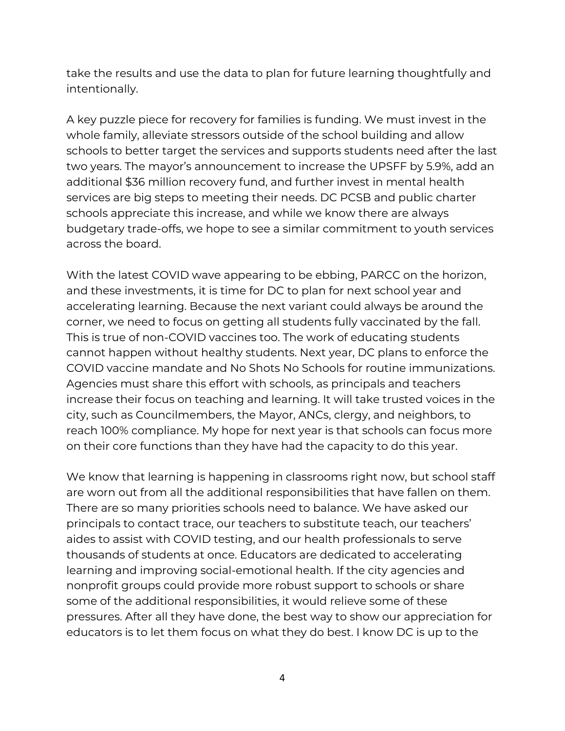take the results and use the data to plan for future learning thoughtfully and intentionally.

A key puzzle piece for recovery for families is funding. We must invest in the whole family, alleviate stressors outside of the school building and allow schools to better target the services and supports students need after the last two years. The mayor's announcement to increase the UPSFF by 5.9%, add an additional \$36 million recovery fund, and further invest in mental health services are big steps to meeting their needs. DC PCSB and public charter schools appreciate this increase, and while we know there are always budgetary trade-offs, we hope to see a similar commitment to youth services across the board.

With the latest COVID wave appearing to be ebbing, PARCC on the horizon, and these investments, it is time for DC to plan for next school year and accelerating learning. Because the next variant could always be around the corner, we need to focus on getting all students fully vaccinated by the fall. This is true of non-COVID vaccines too. The work of educating students cannot happen without healthy students. Next year, DC plans to enforce the COVID vaccine mandate and No Shots No Schools for routine immunizations. Agencies must share this effort with schools, as principals and teachers increase their focus on teaching and learning. It will take trusted voices in the city, such as Councilmembers, the Mayor, ANCs, clergy, and neighbors, to reach 100% compliance. My hope for next year is that schools can focus more on their core functions than they have had the capacity to do this year.

We know that learning is happening in classrooms right now, but school staff are worn out from all the additional responsibilities that have fallen on them. There are so many priorities schools need to balance. We have asked our principals to contact trace, our teachers to substitute teach, our teachers' aides to assist with COVID testing, and our health professionals to serve thousands of students at once. Educators are dedicated to accelerating learning and improving social-emotional health. If the city agencies and nonprofit groups could provide more robust support to schools or share some of the additional responsibilities, it would relieve some of these pressures. After all they have done, the best way to show our appreciation for educators is to let them focus on what they do best. I know DC is up to the